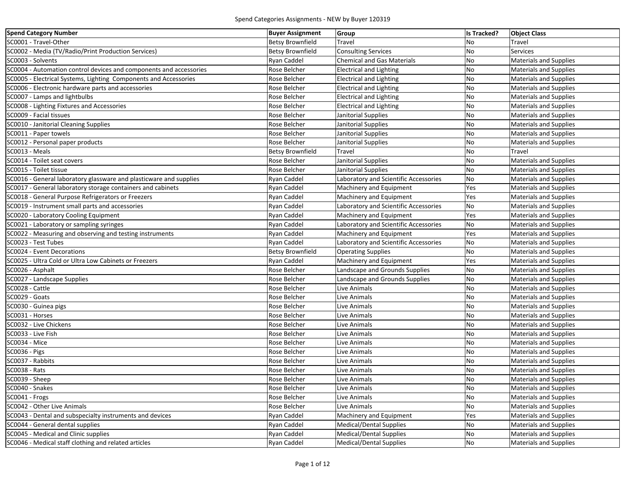| <b>Spend Category Number</b>                                       | <b>Buyer Assignment</b> | Group                                 | <b>Is Tracked?</b> | <b>Object Class</b>           |
|--------------------------------------------------------------------|-------------------------|---------------------------------------|--------------------|-------------------------------|
| SC0001 - Travel-Other                                              | <b>Betsy Brownfield</b> | Travel                                | No                 | Travel                        |
| SC0002 - Media (TV/Radio/Print Production Services)                | <b>Betsy Brownfield</b> | <b>Consulting Services</b>            | No                 | <b>Services</b>               |
| SC0003 - Solvents                                                  | Ryan Caddel             | <b>Chemical and Gas Materials</b>     | No                 | <b>Materials and Supplies</b> |
| SC0004 - Automation control devices and components and accessories | Rose Belcher            | <b>Electrical and Lighting</b>        | No                 | <b>Materials and Supplies</b> |
| SC0005 - Electrical Systems, Lighting Components and Accessories   | Rose Belcher            | <b>Electrical and Lighting</b>        | <b>No</b>          | <b>Materials and Supplies</b> |
| SC0006 - Electronic hardware parts and accessories                 | Rose Belcher            | <b>Electrical and Lighting</b>        | No                 | <b>Materials and Supplies</b> |
| SC0007 - Lamps and lightbulbs                                      | Rose Belcher            | <b>Electrical and Lighting</b>        | No                 | <b>Materials and Supplies</b> |
| SC0008 - Lighting Fixtures and Accessories                         | Rose Belcher            | <b>Electrical and Lighting</b>        | <b>No</b>          | <b>Materials and Supplies</b> |
| SC0009 - Facial tissues                                            | Rose Belcher            | Janitorial Supplies                   | No                 | <b>Materials and Supplies</b> |
| SC0010 - Janitorial Cleaning Supplies                              | Rose Belcher            | Janitorial Supplies                   | No                 | <b>Materials and Supplies</b> |
| SC0011 - Paper towels                                              | Rose Belcher            | Janitorial Supplies                   | No                 | <b>Materials and Supplies</b> |
| SC0012 - Personal paper products                                   | Rose Belcher            | Janitorial Supplies                   | No                 | <b>Materials and Supplies</b> |
| SC0013 - Meals                                                     | <b>Betsy Brownfield</b> | Travel                                | No                 | Travel                        |
| SC0014 - Toilet seat covers                                        | Rose Belcher            | Janitorial Supplies                   | No                 | <b>Materials and Supplies</b> |
| SC0015 - Toilet tissue                                             | Rose Belcher            | Janitorial Supplies                   | No                 | <b>Materials and Supplies</b> |
| SC0016 - General laboratory glassware and plasticware and supplies | Ryan Caddel             | Laboratory and Scientific Accessories | No                 | <b>Materials and Supplies</b> |
| SC0017 - General laboratory storage containers and cabinets        | Ryan Caddel             | Machinery and Equipment               | Yes                | <b>Materials and Supplies</b> |
| SC0018 - General Purpose Refrigerators or Freezers                 | <b>Ryan Caddel</b>      | Machinery and Equipment               | Yes                | <b>Materials and Supplies</b> |
| SC0019 - Instrument small parts and accessories                    | <b>Ryan Caddel</b>      | Laboratory and Scientific Accessories | No                 | <b>Materials and Supplies</b> |
| SC0020 - Laboratory Cooling Equipment                              | <b>Ryan Caddel</b>      | Machinery and Equipment               | Yes                | <b>Materials and Supplies</b> |
| SC0021 - Laboratory or sampling syringes                           | <b>Ryan Caddel</b>      | Laboratory and Scientific Accessories | No                 | <b>Materials and Supplies</b> |
| SC0022 - Measuring and observing and testing instruments           | Ryan Caddel             | Machinery and Equipment               | Yes                | <b>Materials and Supplies</b> |
| SC0023 - Test Tubes                                                | Ryan Caddel             | Laboratory and Scientific Accessories | No                 | <b>Materials and Supplies</b> |
| SC0024 - Event Decorations                                         | <b>Betsy Brownfield</b> | <b>Operating Supplies</b>             | No                 | <b>Materials and Supplies</b> |
| SC0025 - Ultra Cold or Ultra Low Cabinets or Freezers              | Ryan Caddel             | Machinery and Equipment               | Yes                | <b>Materials and Supplies</b> |
| SC0026 - Asphalt                                                   | Rose Belcher            | Landscape and Grounds Supplies        | No                 | <b>Materials and Supplies</b> |
| SC0027 - Landscape Supplies                                        | Rose Belcher            | Landscape and Grounds Supplies        | No                 | <b>Materials and Supplies</b> |
| SC0028 - Cattle                                                    | Rose Belcher            | Live Animals                          | No                 | <b>Materials and Supplies</b> |
| SC0029 - Goats                                                     | Rose Belcher            | Live Animals                          | No                 | <b>Materials and Supplies</b> |
| SC0030 - Guinea pigs                                               | Rose Belcher            | Live Animals                          | <b>No</b>          | <b>Materials and Supplies</b> |
| SC0031 - Horses                                                    | Rose Belcher            | Live Animals                          | No                 | <b>Materials and Supplies</b> |
| SC0032 - Live Chickens                                             | Rose Belcher            | Live Animals                          | No                 | Materials and Supplies        |
| SC0033 - Live Fish                                                 | Rose Belcher            | Live Animals                          | <b>No</b>          | <b>Materials and Supplies</b> |
| SC0034 - Mice                                                      | Rose Belcher            | Live Animals                          | No                 | <b>Materials and Supplies</b> |
| <b>SC0036 - Pigs</b>                                               | Rose Belcher            | Live Animals                          | No                 | <b>Materials and Supplies</b> |
| SC0037 - Rabbits                                                   | Rose Belcher            | Live Animals                          | No                 | <b>Materials and Supplies</b> |
| SC0038 - Rats                                                      | Rose Belcher            | Live Animals                          | No                 | <b>Materials and Supplies</b> |
| SC0039 - Sheep                                                     | Rose Belcher            | Live Animals                          | <b>No</b>          | <b>Materials and Supplies</b> |
| SC0040 - Snakes                                                    | Rose Belcher            | Live Animals                          | No                 | <b>Materials and Supplies</b> |
| SC0041 - Frogs                                                     | Rose Belcher            | Live Animals                          | No                 | <b>Materials and Supplies</b> |
| SC0042 - Other Live Animals                                        | Rose Belcher            | Live Animals                          | No                 | <b>Materials and Supplies</b> |
| SC0043 - Dental and subspecialty instruments and devices           | Ryan Caddel             | Machinery and Equipment               | Yes                | <b>Materials and Supplies</b> |
| SC0044 - General dental supplies                                   | <b>Ryan Caddel</b>      | <b>Medical/Dental Supplies</b>        | No                 | <b>Materials and Supplies</b> |
| SC0045 - Medical and Clinic supplies                               | <b>Ryan Caddel</b>      | <b>Medical/Dental Supplies</b>        | No                 | <b>Materials and Supplies</b> |
| SC0046 - Medical staff clothing and related articles               | Ryan Caddel             | <b>Medical/Dental Supplies</b>        | No                 | <b>Materials and Supplies</b> |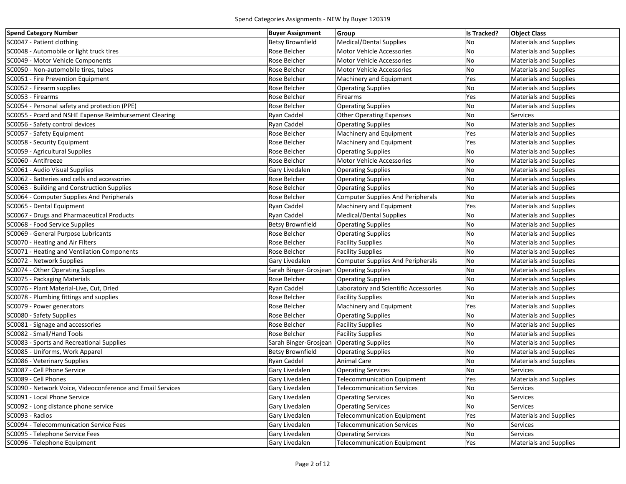| <b>Spend Category Number</b>                               | <b>Buyer Assignment</b> | <b>Group</b>                             | <b>Is Tracked?</b> | <b>Object Class</b>           |
|------------------------------------------------------------|-------------------------|------------------------------------------|--------------------|-------------------------------|
| SC0047 - Patient clothing                                  | <b>Betsy Brownfield</b> | Medical/Dental Supplies                  | No                 | <b>Materials and Supplies</b> |
| SC0048 - Automobile or light truck tires                   | Rose Belcher            | Motor Vehicle Accessories                | No                 | <b>Materials and Supplies</b> |
| SC0049 - Motor Vehicle Components                          | Rose Belcher            | Motor Vehicle Accessories                | No                 | <b>Materials and Supplies</b> |
| SC0050 - Non-automobile tires, tubes                       | Rose Belcher            | <b>Motor Vehicle Accessories</b>         | No                 | <b>Materials and Supplies</b> |
| SC0051 - Fire Prevention Equipment                         | Rose Belcher            | Machinery and Equipment                  | Yes                | <b>Materials and Supplies</b> |
| SC0052 - Firearm supplies                                  | Rose Belcher            | <b>Operating Supplies</b>                | <b>No</b>          | <b>Materials and Supplies</b> |
| SC0053 - Firearms                                          | Rose Belcher            | Firearms                                 | Yes                | <b>Materials and Supplies</b> |
| SC0054 - Personal safety and protection (PPE)              | Rose Belcher            | <b>Operating Supplies</b>                | No                 | <b>Materials and Supplies</b> |
| SC0055 - Pcard and NSHE Expense Reimbursement Clearing     | Ryan Caddel             | <b>Other Operating Expenses</b>          | No                 | Services                      |
| SC0056 - Safety control devices                            | Ryan Caddel             | <b>Operating Supplies</b>                | No                 | <b>Materials and Supplies</b> |
| SC0057 - Safety Equipment                                  | Rose Belcher            | Machinery and Equipment                  | Yes                | <b>Materials and Supplies</b> |
| SC0058 - Security Equipment                                | Rose Belcher            | Machinery and Equipment                  | Yes                | <b>Materials and Supplies</b> |
| SC0059 - Agricultural Supplies                             | Rose Belcher            | <b>Operating Supplies</b>                | No                 | <b>Materials and Supplies</b> |
| SC0060 - Antifreeze                                        | Rose Belcher            | Motor Vehicle Accessories                | <b>No</b>          | <b>Materials and Supplies</b> |
| SC0061 - Audio Visual Supplies                             | Gary Livedalen          | <b>Operating Supplies</b>                | <b>No</b>          | <b>Materials and Supplies</b> |
| SC0062 - Batteries and cells and accessories               | Rose Belcher            | <b>Operating Supplies</b>                | No                 | <b>Materials and Supplies</b> |
| SC0063 - Building and Construction Supplies                | Rose Belcher            | <b>Operating Supplies</b>                | <b>No</b>          | <b>Materials and Supplies</b> |
| SC0064 - Computer Supplies And Peripherals                 | Rose Belcher            | <b>Computer Supplies And Peripherals</b> | <b>No</b>          | <b>Materials and Supplies</b> |
| SC0065 - Dental Equipment                                  | <b>Ryan Caddel</b>      | Machinery and Equipment                  | Yes                | <b>Materials and Supplies</b> |
| SC0067 - Drugs and Pharmaceutical Products                 | Ryan Caddel             | <b>Medical/Dental Supplies</b>           | <b>No</b>          | <b>Materials and Supplies</b> |
| SC0068 - Food Service Supplies                             | <b>Betsy Brownfield</b> | <b>Operating Supplies</b>                | <b>No</b>          | <b>Materials and Supplies</b> |
| SC0069 - General Purpose Lubricants                        | Rose Belcher            | <b>Operating Supplies</b>                | No                 | <b>Materials and Supplies</b> |
| SC0070 - Heating and Air Filters                           | Rose Belcher            | <b>Facility Supplies</b>                 | <b>No</b>          | <b>Materials and Supplies</b> |
| SC0071 - Heating and Ventilation Components                | Rose Belcher            | <b>Facility Supplies</b>                 | No                 | <b>Materials and Supplies</b> |
| SC0072 - Network Supplies                                  | Gary Livedalen          | <b>Computer Supplies And Peripherals</b> | No                 | <b>Materials and Supplies</b> |
| SC0074 - Other Operating Supplies                          | Sarah Binger-Grosjean   | <b>Operating Supplies</b>                | No                 | <b>Materials and Supplies</b> |
| SC0075 - Packaging Materials                               | Rose Belcher            | <b>Operating Supplies</b>                | No                 | <b>Materials and Supplies</b> |
| SC0076 - Plant Material-Live, Cut, Dried                   | Ryan Caddel             | Laboratory and Scientific Accessories    | <b>No</b>          | <b>Materials and Supplies</b> |
| SC0078 - Plumbing fittings and supplies                    | Rose Belcher            | <b>Facility Supplies</b>                 | No                 | <b>Materials and Supplies</b> |
| SC0079 - Power generators                                  | Rose Belcher            | Machinery and Equipment                  | Yes                | <b>Materials and Supplies</b> |
| SC0080 - Safety Supplies                                   | Rose Belcher            | <b>Operating Supplies</b>                | <b>No</b>          | <b>Materials and Supplies</b> |
| SC0081 - Signage and accessories                           | Rose Belcher            | <b>Facility Supplies</b>                 | <b>No</b>          | <b>Materials and Supplies</b> |
| SC0082 - Small/Hand Tools                                  | Rose Belcher            | <b>Facility Supplies</b>                 | No                 | <b>Materials and Supplies</b> |
| SC0083 - Sports and Recreational Supplies                  | Sarah Binger-Grosjean   | <b>Operating Supplies</b>                | No                 | Materials and Supplies        |
| SC0085 - Uniforms, Work Apparel                            | <b>Betsy Brownfield</b> | <b>Operating Supplies</b>                | No                 | <b>Materials and Supplies</b> |
| SC0086 - Veterinary Supplies                               | Ryan Caddel             | Animal Care                              | <b>No</b>          | <b>Materials and Supplies</b> |
| SC0087 - Cell Phone Service                                | Gary Livedalen          | <b>Operating Services</b>                | <b>No</b>          | <b>Services</b>               |
| SC0089 - Cell Phones                                       | Gary Livedalen          | <b>Telecommunication Equipment</b>       | Yes                | <b>Materials and Supplies</b> |
| SC0090 - Network Voice, Videoconference and Email Services | Gary Livedalen          | <b>Telecommunication Services</b>        | No                 | Services                      |
| SC0091 - Local Phone Service                               | Gary Livedalen          | <b>Operating Services</b>                | No                 | Services                      |
| SC0092 - Long distance phone service                       | Gary Livedalen          | <b>Operating Services</b>                | No                 | Services                      |
| SC0093 - Radios                                            | Gary Livedalen          | <b>Telecommunication Equipment</b>       | Yes                | <b>Materials and Supplies</b> |
| SC0094 - Telecommunication Service Fees                    | Gary Livedalen          | <b>Telecommunication Services</b>        | No                 | <b>Services</b>               |
| SC0095 - Telephone Service Fees                            | Gary Livedalen          | <b>Operating Services</b>                | No                 | <b>Services</b>               |
| SC0096 - Telephone Equipment                               | Gary Livedalen          | <b>Telecommunication Equipment</b>       | Yes                | Materials and Supplies        |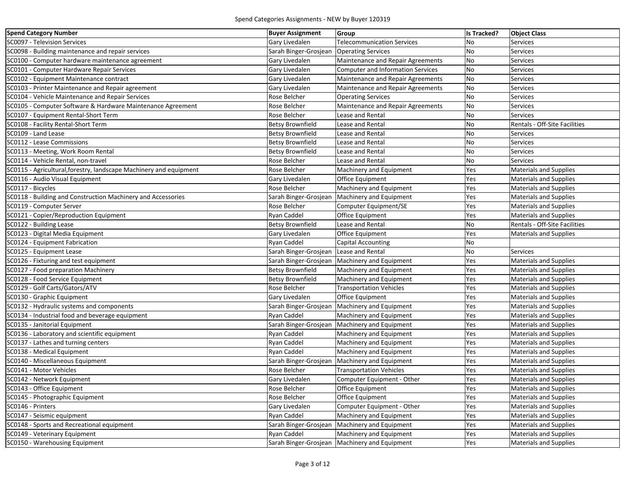| <b>Spend Category Number</b>                                       | <b>Buyer Assignment</b>                | <b>Group</b>                                  | <b>Is Tracked?</b> | <b>Object Class</b>           |
|--------------------------------------------------------------------|----------------------------------------|-----------------------------------------------|--------------------|-------------------------------|
| SC0097 - Television Services                                       | <b>Gary Livedalen</b>                  | <b>Telecommunication Services</b>             | No                 | Services                      |
| SC0098 - Building maintenance and repair services                  | Sarah Binger-Grosjean                  | <b>Operating Services</b>                     | <b>No</b>          | Services                      |
| SC0100 - Computer hardware maintenance agreement                   | Gary Livedalen                         | Maintenance and Repair Agreements             | No                 | Services                      |
| SC0101 - Computer Hardware Repair Services                         | Gary Livedalen                         | <b>Computer and Information Services</b>      | No                 | <b>Services</b>               |
| SC0102 - Equipment Maintenance contract                            | Gary Livedalen                         | Maintenance and Repair Agreements             | No                 | Services                      |
| SC0103 - Printer Maintenance and Repair agreement                  | <b>Gary Livedalen</b>                  | Maintenance and Repair Agreements             | No                 | Services                      |
| SC0104 - Vehicle Maintenance and Repair Services                   | Rose Belcher                           | <b>Operating Services</b>                     | No                 | Services                      |
| SC0105 - Computer Software & Hardware Maintenance Agreement        | Rose Belcher                           | Maintenance and Repair Agreements             | <b>No</b>          | Services                      |
| SC0107 - Equipment Rental-Short Term                               | Rose Belcher                           | Lease and Rental                              | No                 | Services                      |
| SC0108 - Facility Rental-Short Term                                | <b>Betsy Brownfield</b>                | Lease and Rental                              | <b>No</b>          | Rentals - Off-Site Facilities |
| SC0109 - Land Lease                                                | <b>Betsy Brownfield</b>                | Lease and Rental                              | <b>No</b>          | Services                      |
| SC0112 - Lease Commissions                                         | <b>Betsy Brownfield</b>                | Lease and Rental                              | No                 | Services                      |
| SC0113 - Meeting, Work Room Rental                                 | <b>Betsy Brownfield</b>                | Lease and Rental                              | <b>No</b>          | Services                      |
| SC0114 - Vehicle Rental, non-travel                                | Rose Belcher                           | <b>Lease and Rental</b>                       | <b>No</b>          | Services                      |
| SC0115 - Agricultural, forestry, landscape Machinery and equipment | Rose Belcher                           | Machinery and Equipment                       | Yes                | <b>Materials and Supplies</b> |
| SC0116 - Audio Visual Equipment                                    | Gary Livedalen                         | Office Equipment                              | Yes                | <b>Materials and Supplies</b> |
| SC0117 - Bicycles                                                  | Rose Belcher                           | Machinery and Equipment                       | Yes                | <b>Materials and Supplies</b> |
| SC0118 - Building and Construction Machinery and Accessories       | Sarah Binger-Grosjean                  | Machinery and Equipment                       | Yes                | <b>Materials and Supplies</b> |
| SC0119 - Computer Server                                           | Rose Belcher                           | Computer Equipment/SE                         | Yes                | <b>Materials and Supplies</b> |
| SC0121 - Copier/Reproduction Equipment                             | Ryan Caddel                            | Office Equipment                              | Yes                | <b>Materials and Supplies</b> |
| SC0122 - Building Lease                                            | <b>Betsy Brownfield</b>                | Lease and Rental                              | No                 | Rentals - Off-Site Facilities |
| SC0123 - Digital Media Equipment                                   | Gary Livedalen                         | Office Equipment                              | Yes                | <b>Materials and Supplies</b> |
| SC0124 - Equipment Fabrication                                     | <b>Ryan Caddel</b>                     | Capital Accounting                            | <b>No</b>          |                               |
| SC0125 - Equipment Lease                                           | Sarah Binger-Grosjean Lease and Rental |                                               | No                 | Services                      |
| SC0126 - Fixturing and test equipment                              |                                        | Sarah Binger-Grosjean Machinery and Equipment | Yes                | <b>Materials and Supplies</b> |
| SC0127 - Food preparation Machinery                                | <b>Betsy Brownfield</b>                | Machinery and Equipment                       | Yes                | <b>Materials and Supplies</b> |
| SC0128 - Food Service Equipment                                    | <b>Betsy Brownfield</b>                | Machinery and Equipment                       | Yes                | <b>Materials and Supplies</b> |
| SC0129 - Golf Carts/Gators/ATV                                     | Rose Belcher                           | <b>Transportation Vehicles</b>                | Yes                | <b>Materials and Supplies</b> |
| SC0130 - Graphic Equipment                                         | Gary Livedalen                         | Office Equipment                              | Yes                | <b>Materials and Supplies</b> |
| SC0132 - Hydraulic systems and components                          | Sarah Binger-Grosjean                  | Machinery and Equipment                       | Yes                | <b>Materials and Supplies</b> |
| SC0134 - Industrial food and beverage equipment                    | <b>Ryan Caddel</b>                     | Machinery and Equipment                       | Yes                | <b>Materials and Supplies</b> |
| SC0135 - Janitorial Equipment                                      | Sarah Binger-Grosjean                  | Machinery and Equipment                       | Yes                | <b>Materials and Supplies</b> |
| SC0136 - Laboratory and scientific equipment                       | Ryan Caddel                            | Machinery and Equipment                       | Yes                | <b>Materials and Supplies</b> |
| SC0137 - Lathes and turning centers                                | Ryan Caddel                            | Machinery and Equipment                       | Yes                | <b>Materials and Supplies</b> |
| SC0138 - Medical Equipment                                         | Ryan Caddel                            | Machinery and Equipment                       | Yes                | <b>Materials and Supplies</b> |
| SC0140 - Miscellaneous Equipment                                   | Sarah Binger-Grosjean                  | Machinery and Equipment                       | Yes                | <b>Materials and Supplies</b> |
| SC0141 - Motor Vehicles                                            | Rose Belcher                           | <b>Transportation Vehicles</b>                | Yes                | <b>Materials and Supplies</b> |
| SC0142 - Network Equipment                                         | <b>Gary Livedalen</b>                  | Computer Equipment - Other                    | Yes                | <b>Materials and Supplies</b> |
| SC0143 - Office Equipment                                          | Rose Belcher                           | Office Equipment                              | Yes                | <b>Materials and Supplies</b> |
| SC0145 - Photographic Equipment                                    | Rose Belcher                           | Office Equipment                              | Yes                | <b>Materials and Supplies</b> |
| SC0146 - Printers                                                  | Gary Livedalen                         | Computer Equipment - Other                    | Yes                | <b>Materials and Supplies</b> |
| SC0147 - Seismic equipment                                         | Ryan Caddel                            | Machinery and Equipment                       | Yes                | <b>Materials and Supplies</b> |
| SC0148 - Sports and Recreational equipment                         | Sarah Binger-Grosjean                  | Machinery and Equipment                       | Yes                | <b>Materials and Supplies</b> |
| SC0149 - Veterinary Equipment                                      | <b>Ryan Caddel</b>                     | Machinery and Equipment                       | Yes                | <b>Materials and Supplies</b> |
| SC0150 - Warehousing Equipment                                     | Sarah Binger-Grosjean                  | Machinery and Equipment                       | Yes                | <b>Materials and Supplies</b> |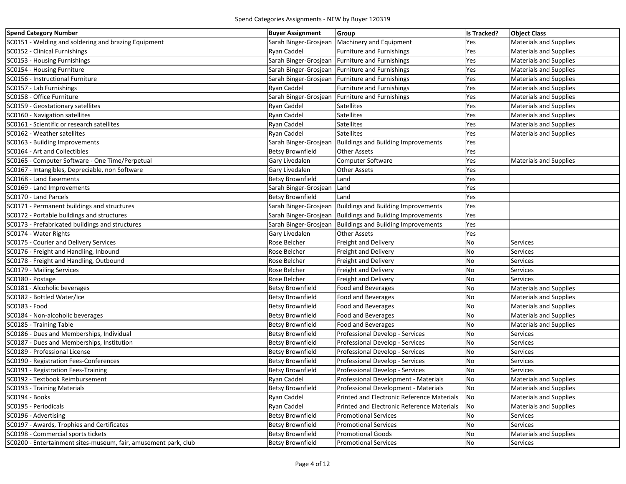| <b>Spend Category Number</b>                                    | <b>Buyer Assignment</b> | Group                                                     | <b>Is Tracked?</b> | <b>Object Class</b>           |
|-----------------------------------------------------------------|-------------------------|-----------------------------------------------------------|--------------------|-------------------------------|
| SC0151 - Welding and soldering and brazing Equipment            | Sarah Binger-Grosjean   | Machinery and Equipment                                   | Yes                | <b>Materials and Supplies</b> |
| SC0152 - Clinical Furnishings                                   | Ryan Caddel             | <b>Furniture and Furnishings</b>                          | Yes                | <b>Materials and Supplies</b> |
| SC0153 - Housing Furnishings                                    |                         | Sarah Binger-Grosjean Furniture and Furnishings           | Yes                | <b>Materials and Supplies</b> |
| SC0154 - Housing Furniture                                      |                         | Sarah Binger-Grosjean Furniture and Furnishings           | Yes                | <b>Materials and Supplies</b> |
| SC0156 - Instructional Furniture                                |                         | Sarah Binger-Grosjean Furniture and Furnishings           | Yes                | <b>Materials and Supplies</b> |
| SC0157 - Lab Furnishings                                        | Ryan Caddel             | Furniture and Furnishings                                 | Yes                | <b>Materials and Supplies</b> |
| SC0158 - Office Furniture                                       |                         | Sarah Binger-Grosjean Furniture and Furnishings           | Yes                | Materials and Supplies        |
| SC0159 - Geostationary satellites                               | Ryan Caddel             | <b>Satellites</b>                                         | Yes                | <b>Materials and Supplies</b> |
| SC0160 - Navigation satellites                                  | Ryan Caddel             | <b>Satellites</b>                                         | Yes                | <b>Materials and Supplies</b> |
| SC0161 - Scientific or research satellites                      | Ryan Caddel             | Satellites                                                | Yes                | <b>Materials and Supplies</b> |
| SC0162 - Weather satellites                                     | Ryan Caddel             | <b>Satellites</b>                                         | Yes                | <b>Materials and Supplies</b> |
| SC0163 - Building Improvements                                  | Sarah Binger-Grosjean   | <b>Buildings and Building Improvements</b>                | Yes                |                               |
| SC0164 - Art and Collectibles                                   | <b>Betsy Brownfield</b> | <b>Other Assets</b>                                       | Yes                |                               |
| SC0165 - Computer Software - One Time/Perpetual                 | Gary Livedalen          | Computer Software                                         | Yes                | <b>Materials and Supplies</b> |
| SC0167 - Intangibles, Depreciable, non Software                 | Gary Livedalen          | <b>Other Assets</b>                                       | Yes                |                               |
| SC0168 - Land Easements                                         | <b>Betsy Brownfield</b> | Land                                                      | Yes                |                               |
| SC0169 - Land Improvements                                      | Sarah Binger-Grosjean   | Land                                                      | Yes                |                               |
| SC0170 - Land Parcels                                           | <b>Betsy Brownfield</b> | Land                                                      | Yes                |                               |
| SC0171 - Permanent buildings and structures                     |                         | Sarah Binger-Grosjean Buildings and Building Improvements | Yes                |                               |
| SC0172 - Portable buildings and structures                      |                         | Sarah Binger-Grosjean Buildings and Building Improvements | Yes                |                               |
| SC0173 - Prefabricated buildings and structures                 |                         | Sarah Binger-Grosjean Buildings and Building Improvements | Yes                |                               |
| SC0174 - Water Rights                                           | Gary Livedalen          | <b>Other Assets</b>                                       | Yes                |                               |
| SC0175 - Courier and Delivery Services                          | Rose Belcher            | Freight and Delivery                                      | No                 | Services                      |
| SC0176 - Freight and Handling, Inbound                          | Rose Belcher            | Freight and Delivery                                      | No                 | Services                      |
| SC0178 - Freight and Handling, Outbound                         | Rose Belcher            | Freight and Delivery                                      | No                 | Services                      |
| SC0179 - Mailing Services                                       | Rose Belcher            | Freight and Delivery                                      | No                 | Services                      |
| SC0180 - Postage                                                | Rose Belcher            | Freight and Delivery                                      | <b>No</b>          | <b>Services</b>               |
| SC0181 - Alcoholic beverages                                    | <b>Betsy Brownfield</b> | Food and Beverages                                        | No                 | <b>Materials and Supplies</b> |
| SC0182 - Bottled Water/Ice                                      | <b>Betsy Brownfield</b> | Food and Beverages                                        | No                 | <b>Materials and Supplies</b> |
| <b>SC0183 - Food</b>                                            | <b>Betsy Brownfield</b> | Food and Beverages                                        | <b>No</b>          | <b>Materials and Supplies</b> |
| SC0184 - Non-alcoholic beverages                                | <b>Betsy Brownfield</b> | Food and Beverages                                        | No                 | <b>Materials and Supplies</b> |
| SC0185 - Training Table                                         | <b>Betsy Brownfield</b> | <b>Food and Beverages</b>                                 | No                 | <b>Materials and Supplies</b> |
| SC0186 - Dues and Memberships, Individual                       | <b>Betsy Brownfield</b> | Professional Develop - Services                           | <b>No</b>          | Services                      |
| SC0187 - Dues and Memberships, Institution                      | <b>Betsy Brownfield</b> | Professional Develop - Services                           | No                 | Services                      |
| SC0189 - Professional License                                   | <b>Betsy Brownfield</b> | Professional Develop - Services                           | No                 | Services                      |
| SC0190 - Registration Fees-Conferences                          | <b>Betsy Brownfield</b> | Professional Develop - Services                           | No                 | Services                      |
| SC0191 - Registration Fees-Training                             | <b>Betsy Brownfield</b> | Professional Develop - Services                           | No                 | Services                      |
| SC0192 - Textbook Reimbursement                                 | Ryan Caddel             | Professional Development - Materials                      | No                 | <b>Materials and Supplies</b> |
| SC0193 - Training Materials                                     | <b>Betsy Brownfield</b> | Professional Development - Materials                      | No                 | <b>Materials and Supplies</b> |
| SC0194 - Books                                                  | Ryan Caddel             | Printed and Electronic Reference Materials                | No                 | <b>Materials and Supplies</b> |
| SC0195 - Periodicals                                            | Ryan Caddel             | Printed and Electronic Reference Materials                | No                 | <b>Materials and Supplies</b> |
| SC0196 - Advertising                                            | <b>Betsy Brownfield</b> | <b>Promotional Services</b>                               | No                 | Services                      |
| SC0197 - Awards, Trophies and Certificates                      | <b>Betsy Brownfield</b> | <b>Promotional Services</b>                               | No                 | <b>Services</b>               |
| SC0198 - Commercial sports tickets                              | <b>Betsy Brownfield</b> | <b>Promotional Goods</b>                                  | No                 | <b>Materials and Supplies</b> |
| SC0200 - Entertainment sites-museum, fair, amusement park, club | <b>Betsy Brownfield</b> | <b>Promotional Services</b>                               | No                 | <b>Services</b>               |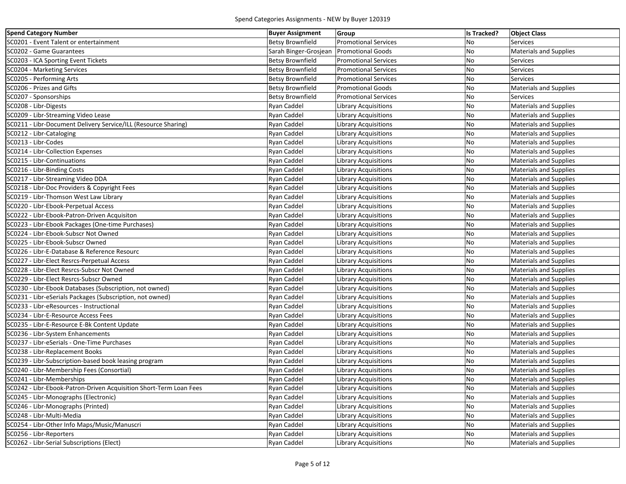| <b>Spend Category Number</b>                                       | <b>Buyer Assignment</b> | Group                       | <b>Is Tracked?</b> | <b>Object Class</b>           |
|--------------------------------------------------------------------|-------------------------|-----------------------------|--------------------|-------------------------------|
| SC0201 - Event Talent or entertainment                             | <b>Betsy Brownfield</b> | <b>Promotional Services</b> | No                 | Services                      |
| SC0202 - Game Guarantees                                           | Sarah Binger-Grosjean   | <b>Promotional Goods</b>    | No                 | <b>Materials and Supplies</b> |
| SC0203 - ICA Sporting Event Tickets                                | <b>Betsy Brownfield</b> | <b>Promotional Services</b> | <b>No</b>          | Services                      |
| SC0204 - Marketing Services                                        | <b>Betsy Brownfield</b> | <b>Promotional Services</b> | No                 | Services                      |
| SC0205 - Performing Arts                                           | <b>Betsy Brownfield</b> | <b>Promotional Services</b> | <b>No</b>          | <b>Services</b>               |
| SC0206 - Prizes and Gifts                                          | <b>Betsy Brownfield</b> | <b>Promotional Goods</b>    | <b>No</b>          | <b>Materials and Supplies</b> |
| SC0207 - Sponsorships                                              | <b>Betsy Brownfield</b> | <b>Promotional Services</b> | <b>No</b>          | Services                      |
| SC0208 - Libr-Digests                                              | Ryan Caddel             | Library Acquisitions        | <b>No</b>          | <b>Materials and Supplies</b> |
| SC0209 - Libr-Streaming Video Lease                                | Ryan Caddel             | Library Acquisitions        | <b>No</b>          | <b>Materials and Supplies</b> |
| SC0211 - Libr-Document Delivery Service/ILL (Resource Sharing)     | Ryan Caddel             | Library Acquisitions        | <b>No</b>          | <b>Materials and Supplies</b> |
| SC0212 - Libr-Cataloging                                           | <b>Ryan Caddel</b>      | Library Acquisitions        | No                 | <b>Materials and Supplies</b> |
| SC0213 - Libr-Codes                                                | Ryan Caddel             | Library Acquisitions        | <b>No</b>          | <b>Materials and Supplies</b> |
| SC0214 - Libr-Collection Expenses                                  | Ryan Caddel             | Library Acquisitions        | <b>No</b>          | <b>Materials and Supplies</b> |
| SC0215 - Libr-Continuations                                        | <b>Ryan Caddel</b>      | <b>Library Acquisitions</b> | <b>No</b>          | <b>Materials and Supplies</b> |
| SC0216 - Libr-Binding Costs                                        | <b>Ryan Caddel</b>      | <b>Library Acquisitions</b> | <b>No</b>          | <b>Materials and Supplies</b> |
| SC0217 - Libr-Streaming Video DDA                                  | Ryan Caddel             | <b>Library Acquisitions</b> | No                 | <b>Materials and Supplies</b> |
| SC0218 - Libr-Doc Providers & Copyright Fees                       | Ryan Caddel             | <b>Library Acquisitions</b> | <b>No</b>          | <b>Materials and Supplies</b> |
| SC0219 - Libr-Thomson West Law Library                             | Ryan Caddel             | <b>Library Acquisitions</b> | <b>No</b>          | <b>Materials and Supplies</b> |
| SC0220 - Libr-Ebook-Perpetual Access                               | Ryan Caddel             | Library Acquisitions        | <b>No</b>          | <b>Materials and Supplies</b> |
| SC0222 - Libr-Ebook-Patron-Driven Acquisiton                       | Ryan Caddel             | Library Acquisitions        | <b>No</b>          | <b>Materials and Supplies</b> |
| SC0223 - Libr-Ebook Packages (One-time Purchases)                  | Ryan Caddel             | Library Acquisitions        | <b>No</b>          | <b>Materials and Supplies</b> |
| SC0224 - Libr-Ebook-Subscr Not Owned                               | Ryan Caddel             | Library Acquisitions        | <b>No</b>          | <b>Materials and Supplies</b> |
| SC0225 - Libr-Ebook-Subscr Owned                                   | Ryan Caddel             | Library Acquisitions        | <b>No</b>          | <b>Materials and Supplies</b> |
| SC0226 - Libr-E-Database & Reference Resourc                       | Ryan Caddel             | <b>Library Acquisitions</b> | <b>No</b>          | <b>Materials and Supplies</b> |
| SC0227 - Libr-Elect Resrcs-Perpetual Access                        | Ryan Caddel             | <b>Library Acquisitions</b> | <b>No</b>          | <b>Materials and Supplies</b> |
| SC0228 - Libr-Elect Resrcs-Subscr Not Owned                        | <b>Ryan Caddel</b>      | <b>Library Acquisitions</b> | No                 | <b>Materials and Supplies</b> |
| SC0229 - Libr-Elect Resrcs-Subscr Owned                            | <b>Ryan Caddel</b>      | <b>Library Acquisitions</b> | No                 | <b>Materials and Supplies</b> |
| SC0230 - Libr-Ebook Databases (Subscription, not owned)            | Ryan Caddel             | <b>Library Acquisitions</b> | <b>No</b>          | <b>Materials and Supplies</b> |
| SC0231 - Libr-eSerials Packages (Subscription, not owned)          | <b>Ryan Caddel</b>      | <b>Library Acquisitions</b> | No                 | <b>Materials and Supplies</b> |
| SC0233 - Libr-eResources - Instructional                           | <b>Ryan Caddel</b>      | <b>Library Acquisitions</b> | <b>No</b>          | <b>Materials and Supplies</b> |
| SC0234 - Libr-E-Resource Access Fees                               | Ryan Caddel             | Library Acquisitions        | <b>No</b>          | Materials and Supplies        |
| SC0235 - Libr-E-Resource E-Bk Content Update                       | Ryan Caddel             | Library Acquisitions        | <b>No</b>          | <b>Materials and Supplies</b> |
| SC0236 - Libr-System Enhancements                                  | <b>Ryan Caddel</b>      | Library Acquisitions        | <b>No</b>          | <b>Materials and Supplies</b> |
| SC0237 - Libr-eSerials - One-Time Purchases                        | Ryan Caddel             | Library Acquisitions        | <b>No</b>          | <b>Materials and Supplies</b> |
| SC0238 - Libr-Replacement Books                                    | <b>Ryan Caddel</b>      | Library Acquisitions        | <b>No</b>          | <b>Materials and Supplies</b> |
| SC0239 - Libr-Subscription-based book leasing program              | Ryan Caddel             | Library Acquisitions        | <b>No</b>          | <b>Materials and Supplies</b> |
| SC0240 - Libr-Membership Fees (Consortial)                         | Ryan Caddel             | <b>Library Acquisitions</b> | <b>No</b>          | <b>Materials and Supplies</b> |
| SC0241 - Libr-Memberships                                          | <b>Ryan Caddel</b>      | <b>Library Acquisitions</b> | <b>No</b>          | <b>Materials and Supplies</b> |
| SC0242 - Libr-Ebook-Patron-Driven Acquisition Short-Term Loan Fees | Ryan Caddel             | <b>Library Acquisitions</b> | No                 | <b>Materials and Supplies</b> |
| SC0245 - Libr-Monographs (Electronic)                              | Ryan Caddel             | <b>Library Acquisitions</b> | No                 | <b>Materials and Supplies</b> |
| SC0246 - Libr-Monographs (Printed)                                 | Ryan Caddel             | <b>Library Acquisitions</b> | No                 | <b>Materials and Supplies</b> |
| SC0248 - Libr-Multi-Media                                          | Ryan Caddel             | <b>Library Acquisitions</b> | No                 | <b>Materials and Supplies</b> |
| SC0254 - Libr-Other Info Maps/Music/Manuscri                       | Ryan Caddel             | <b>Library Acquisitions</b> | No                 | <b>Materials and Supplies</b> |
| SC0256 - Libr-Reporters                                            | Ryan Caddel             | Library Acquisitions        | No                 | <b>Materials and Supplies</b> |
| SC0262 - Libr-Serial Subscriptions (Elect)                         | Ryan Caddel             | <b>Library Acquisitions</b> | No                 | <b>Materials and Supplies</b> |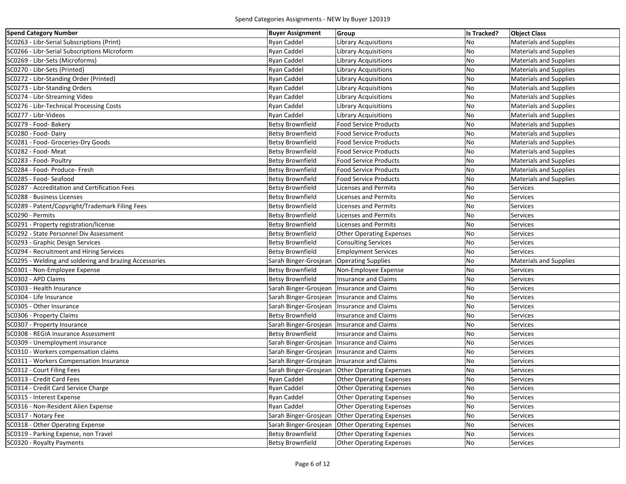| <b>Spend Category Number</b>                           | <b>Buyer Assignment</b>                      | <b>Group</b>                                     | <b>Is Tracked?</b> | <b>Object Class</b>           |
|--------------------------------------------------------|----------------------------------------------|--------------------------------------------------|--------------------|-------------------------------|
| SC0263 - Libr-Serial Subscriptions (Print)             | Ryan Caddel                                  | <b>Library Acquisitions</b>                      | <b>No</b>          | <b>Materials and Supplies</b> |
| SC0266 - Libr-Serial Subscriptions Microform           | <b>Ryan Caddel</b>                           | <b>Library Acquisitions</b>                      | No                 | <b>Materials and Supplies</b> |
| SC0269 - Libr-Sets (Microforms)                        | Ryan Caddel                                  | <b>Library Acquisitions</b>                      | No                 | <b>Materials and Supplies</b> |
| SC0270 - Libr-Sets (Printed)                           | Ryan Caddel                                  | <b>Library Acquisitions</b>                      | <b>No</b>          | <b>Materials and Supplies</b> |
| SC0272 - Libr-Standing Order (Printed)                 | <b>Ryan Caddel</b>                           | <b>Library Acquisitions</b>                      | No                 | <b>Materials and Supplies</b> |
| SC0273 - Libr-Standing Orders                          | Ryan Caddel                                  | <b>Library Acquisitions</b>                      | <b>No</b>          | <b>Materials and Supplies</b> |
| SC0274 - Libr-Streaming Video                          | Ryan Caddel                                  | <b>Library Acquisitions</b>                      | <b>No</b>          | <b>Materials and Supplies</b> |
| SC0276 - Libr-Technical Processing Costs               | <b>Ryan Caddel</b>                           | <b>Library Acquisitions</b>                      | <b>No</b>          | <b>Materials and Supplies</b> |
| SC0277 - Libr-Videos                                   | Ryan Caddel                                  | <b>Library Acquisitions</b>                      | <b>No</b>          | <b>Materials and Supplies</b> |
| SC0279 - Food- Bakery                                  | <b>Betsy Brownfield</b>                      | <b>Food Service Products</b>                     | <b>No</b>          | <b>Materials and Supplies</b> |
| SC0280 - Food- Dairy                                   | <b>Betsy Brownfield</b>                      | <b>Food Service Products</b>                     | <b>No</b>          | <b>Materials and Supplies</b> |
| SC0281 - Food- Groceries-Dry Goods                     | <b>Betsy Brownfield</b>                      | <b>Food Service Products</b>                     | No                 | <b>Materials and Supplies</b> |
| SC0282 - Food- Meat                                    | <b>Betsy Brownfield</b>                      | <b>Food Service Products</b>                     | No                 | <b>Materials and Supplies</b> |
| SC0283 - Food- Poultry                                 | <b>Betsy Brownfield</b>                      | <b>Food Service Products</b>                     | <b>No</b>          | <b>Materials and Supplies</b> |
| SC0284 - Food- Produce- Fresh                          | <b>Betsy Brownfield</b>                      | <b>Food Service Products</b>                     | <b>No</b>          | <b>Materials and Supplies</b> |
| SC0285 - Food- Seafood                                 | <b>Betsy Brownfield</b>                      | <b>Food Service Products</b>                     | No                 | <b>Materials and Supplies</b> |
| SC0287 - Accreditation and Certification Fees          | <b>Betsy Brownfield</b>                      | <b>Licenses and Permits</b>                      | <b>No</b>          | <b>Services</b>               |
| SC0288 - Business Licenses                             | <b>Betsy Brownfield</b>                      | <b>Licenses and Permits</b>                      | <b>No</b>          | Services                      |
| SC0289 - Patent/Copyright/Trademark Filing Fees        | <b>Betsy Brownfield</b>                      | <b>Licenses and Permits</b>                      | No                 | Services                      |
| SC0290 - Permits                                       | <b>Betsy Brownfield</b>                      | <b>Licenses and Permits</b>                      | <b>No</b>          | Services                      |
| SC0291 - Property registration/license                 | <b>Betsy Brownfield</b>                      | <b>Licenses and Permits</b>                      | <b>No</b>          | Services                      |
| SC0292 - State Personnel Div Assessment                | <b>Betsy Brownfield</b>                      | <b>Other Operating Expenses</b>                  | <b>No</b>          | Services                      |
| SC0293 - Graphic Design Services                       | <b>Betsy Brownfield</b>                      | <b>Consulting Services</b>                       | No                 | Services                      |
| SC0294 - Recruitment and Hiring Services               | <b>Betsy Brownfield</b>                      | <b>Employment Services</b>                       | No                 | Services                      |
| SC0295 - Welding and soldering and brazing Accessories | Sarah Binger-Grosjean                        | <b>Operating Supplies</b>                        | No                 | <b>Materials and Supplies</b> |
| SC0301 - Non-Employee Expense                          | <b>Betsy Brownfield</b>                      | Non-Employee Expense                             | No                 | Services                      |
| SC0302 - APD Claims                                    | <b>Betsy Brownfield</b>                      | <b>Insurance and Claims</b>                      | No                 | Services                      |
| SC0303 - Health Insurance                              | Sarah Binger-Grosjean   Insurance and Claims |                                                  | No                 | <b>Services</b>               |
| SC0304 - Life Insurance                                | Sarah Binger-Grosjean Insurance and Claims   |                                                  | No                 | <b>Services</b>               |
| SC0305 - Other Insurance                               | Sarah Binger-Grosjean Insurance and Claims   |                                                  | No                 | Services                      |
| SC0306 - Property Claims                               | <b>Betsy Brownfield</b>                      | <b>Insurance and Claims</b>                      | No                 | Services                      |
| SC0307 - Property Insurance                            | Sarah Binger-Grosjean   Insurance and Claims |                                                  | No                 | Services                      |
| SC0308 - REGIA Insurance Assessment                    | <b>Betsy Brownfield</b>                      | Insurance and Claims                             | <b>No</b>          | <b>Services</b>               |
| SC0309 - Unemployment insurance                        | Sarah Binger-Grosjean   Insurance and Claims |                                                  | No                 | Services                      |
| SC0310 - Workers compensation claims                   | Sarah Binger-Grosjean   Insurance and Claims |                                                  | No                 | Services                      |
| SC0311 - Workers Compensation Insurance                | Sarah Binger-Grosjean   Insurance and Claims |                                                  | <b>No</b>          | Services                      |
| SC0312 - Court Filing Fees                             |                                              | Sarah Binger-Grosiean Other Operating Expenses   | No                 | Services                      |
| SC0313 - Credit Card Fees                              | Ryan Caddel                                  | <b>Other Operating Expenses</b>                  | <b>No</b>          | <b>Services</b>               |
| SC0314 - Credit Card Service Charge                    | Ryan Caddel                                  | <b>Other Operating Expenses</b>                  | No                 | Services                      |
| SC0315 - Interest Expense                              | Ryan Caddel                                  | <b>Other Operating Expenses</b>                  | No                 | Services                      |
| SC0316 - Non-Resident Alien Expense                    | Ryan Caddel                                  | <b>Other Operating Expenses</b>                  | No                 | Services                      |
| SC0317 - Notary Fee                                    |                                              | Sarah Binger-Grosjean Other Operating Expenses   | No                 | <b>Services</b>               |
| SC0318 - Other Operating Expense                       |                                              | Sarah Binger-Grosjean   Other Operating Expenses | No                 | <b>Services</b>               |
| SC0319 - Parking Expense, non Travel                   | <b>Betsy Brownfield</b>                      | <b>Other Operating Expenses</b>                  | No                 | <b>Services</b>               |
| SC0320 - Royalty Payments                              | <b>Betsy Brownfield</b>                      | <b>Other Operating Expenses</b>                  | No                 | <b>Services</b>               |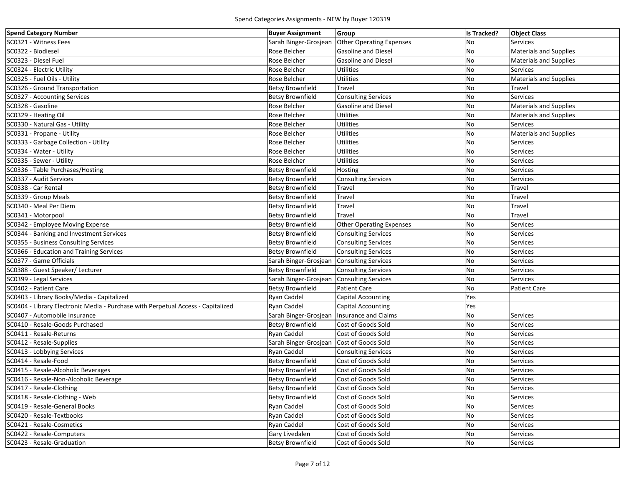| <b>Spend Category Number</b>                                                     | <b>Buyer Assignment</b> | Group                           | Is Tracked? | <b>Object Class</b>           |
|----------------------------------------------------------------------------------|-------------------------|---------------------------------|-------------|-------------------------------|
| SC0321 - Witness Fees                                                            | Sarah Binger-Grosjean   | <b>Other Operating Expenses</b> | No          | Services                      |
| SC0322 - Biodiesel                                                               | Rose Belcher            | <b>Gasoline and Diesel</b>      | No          | <b>Materials and Supplies</b> |
| SC0323 - Diesel Fuel                                                             | Rose Belcher            | <b>Gasoline and Diesel</b>      | No          | <b>Materials and Supplies</b> |
| SC0324 - Electric Utility                                                        | Rose Belcher            | Utilities                       | No          | <b>Services</b>               |
| SC0325 - Fuel Oils - Utility                                                     | Rose Belcher            | Utilities                       | No          | <b>Materials and Supplies</b> |
| SC0326 - Ground Transportation                                                   | <b>Betsy Brownfield</b> | <b>Travel</b>                   | No          | Travel                        |
| SC0327 - Accounting Services                                                     | <b>Betsy Brownfield</b> | <b>Consulting Services</b>      | No          | <b>Services</b>               |
| SC0328 - Gasoline                                                                | Rose Belcher            | Gasoline and Diesel             | No          | <b>Materials and Supplies</b> |
| SC0329 - Heating Oil                                                             | Rose Belcher            | Utilities                       | No          | <b>Materials and Supplies</b> |
| SC0330 - Natural Gas - Utility                                                   | Rose Belcher            | Utilities                       | No          | Services                      |
| SC0331 - Propane - Utility                                                       | Rose Belcher            | <b>Utilities</b>                | No          | <b>Materials and Supplies</b> |
| SC0333 - Garbage Collection - Utility                                            | Rose Belcher            | Utilities                       | No          | <b>Services</b>               |
| SC0334 - Water - Utility                                                         | Rose Belcher            | <b>Utilities</b>                | No          | Services                      |
| SC0335 - Sewer - Utility                                                         | Rose Belcher            | Utilities                       | No          | Services                      |
| SC0336 - Table Purchases/Hosting                                                 | <b>Betsy Brownfield</b> | Hosting                         | No          | <b>Services</b>               |
| SC0337 - Audit Services                                                          | <b>Betsy Brownfield</b> | <b>Consulting Services</b>      | No          | Services                      |
| SC0338 - Car Rental                                                              | <b>Betsy Brownfield</b> | Travel                          | No          | Travel                        |
| SC0339 - Group Meals                                                             | <b>Betsy Brownfield</b> | Travel                          | No          | <b>Travel</b>                 |
| SC0340 - Meal Per Diem                                                           | <b>Betsy Brownfield</b> | <b>Travel</b>                   | No          | Travel                        |
| SC0341 - Motorpool                                                               | <b>Betsy Brownfield</b> | Travel                          | No          | Travel                        |
| SC0342 - Employee Moving Expense                                                 | <b>Betsy Brownfield</b> | <b>Other Operating Expenses</b> | No          | Services                      |
| SC0344 - Banking and Investment Services                                         | <b>Betsy Brownfield</b> | <b>Consulting Services</b>      | No          | <b>Services</b>               |
| SC0355 - Business Consulting Services                                            | <b>Betsy Brownfield</b> | <b>Consulting Services</b>      | No          | <b>Services</b>               |
| SC0366 - Education and Training Services                                         | <b>Betsy Brownfield</b> | <b>Consulting Services</b>      | No          | <b>Services</b>               |
| SC0377 - Game Officials                                                          | Sarah Binger-Grosjean   | <b>Consulting Services</b>      | No          | Services                      |
| SC0388 - Guest Speaker/ Lecturer                                                 | <b>Betsy Brownfield</b> | <b>Consulting Services</b>      | No          | <b>Services</b>               |
| SC0399 - Legal Services                                                          | Sarah Binger-Grosjean   | <b>Consulting Services</b>      | No          | <b>Services</b>               |
| SC0402 - Patient Care                                                            | <b>Betsy Brownfield</b> | <b>Patient Care</b>             | No          | <b>Patient Care</b>           |
| SC0403 - Library Books/Media - Capitalized                                       | Ryan Caddel             | <b>Capital Accounting</b>       | Yes         |                               |
| SC0404 - Library Electronic Media - Purchase with Perpetual Access - Capitalized | Ryan Caddel             | <b>Capital Accounting</b>       | Yes         |                               |
| SC0407 - Automobile Insurance                                                    | Sarah Binger-Grosjean   | Insurance and Claims            | No          | <b>Services</b>               |
| SC0410 - Resale-Goods Purchased                                                  | <b>Betsy Brownfield</b> | Cost of Goods Sold              | No          | Services                      |
| SC0411 - Resale-Returns                                                          | Ryan Caddel             | Cost of Goods Sold              | No          | <b>Services</b>               |
| SC0412 - Resale-Supplies                                                         | Sarah Binger-Grosjean   | Cost of Goods Sold              | No          | <b>Services</b>               |
| SC0413 - Lobbying Services                                                       | Ryan Caddel             | <b>Consulting Services</b>      | No          | <b>Services</b>               |
| SC0414 - Resale-Food                                                             | <b>Betsy Brownfield</b> | Cost of Goods Sold              | No          | Services                      |
| SC0415 - Resale-Alcoholic Beverages                                              | <b>Betsy Brownfield</b> | Cost of Goods Sold              | No          | <b>Services</b>               |
| SC0416 - Resale-Non-Alcoholic Beverage                                           | <b>Betsy Brownfield</b> | Cost of Goods Sold              | <b>No</b>   | Services                      |
| SC0417 - Resale-Clothing                                                         | <b>Betsy Brownfield</b> | Cost of Goods Sold              | No          | Services                      |
| SC0418 - Resale-Clothing - Web                                                   | <b>Betsy Brownfield</b> | Cost of Goods Sold              | No          | Services                      |
| SC0419 - Resale-General Books                                                    | Ryan Caddel             | Cost of Goods Sold              | No          | Services                      |
| SC0420 - Resale-Textbooks                                                        | Ryan Caddel             | Cost of Goods Sold              | No          | Services                      |
| SC0421 - Resale-Cosmetics                                                        | Ryan Caddel             | Cost of Goods Sold              | No          | Services                      |
| SC0422 - Resale-Computers                                                        | Gary Livedalen          | Cost of Goods Sold              | No          | Services                      |
| SC0423 - Resale-Graduation                                                       | <b>Betsy Brownfield</b> | Cost of Goods Sold              | No          | <b>Services</b>               |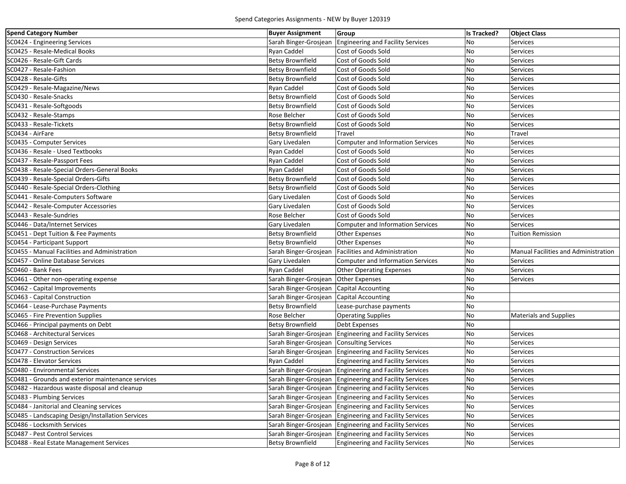| <b>Spend Category Number</b>                       | <b>Buyer Assignment</b>                   | <b>Group</b>                                            | <b>Is Tracked?</b> | <b>Object Class</b>                         |
|----------------------------------------------------|-------------------------------------------|---------------------------------------------------------|--------------------|---------------------------------------------|
| SC0424 - Engineering Services                      |                                           | Sarah Binger-Grosjean Engineering and Facility Services | No                 | Services                                    |
| SC0425 - Resale-Medical Books                      | Ryan Caddel                               | Cost of Goods Sold                                      | <b>No</b>          | Services                                    |
| SC0426 - Resale-Gift Cards                         | <b>Betsy Brownfield</b>                   | Cost of Goods Sold                                      | <b>No</b>          | <b>Services</b>                             |
| SC0427 - Resale-Fashion                            | <b>Betsy Brownfield</b>                   | Cost of Goods Sold                                      | <b>No</b>          | Services                                    |
| SC0428 - Resale-Gifts                              | <b>Betsy Brownfield</b>                   | Cost of Goods Sold                                      | <b>No</b>          | <b>Services</b>                             |
| SC0429 - Resale-Magazine/News                      | Ryan Caddel                               | Cost of Goods Sold                                      | <b>No</b>          | <b>Services</b>                             |
| SC0430 - Resale-Snacks                             | <b>Betsy Brownfield</b>                   | Cost of Goods Sold                                      | <b>No</b>          | Services                                    |
| SC0431 - Resale-Softgoods                          | <b>Betsy Brownfield</b>                   | Cost of Goods Sold                                      | <b>No</b>          | Services                                    |
| SC0432 - Resale-Stamps                             | Rose Belcher                              | Cost of Goods Sold                                      | <b>No</b>          | <b>Services</b>                             |
| SC0433 - Resale-Tickets                            | <b>Betsy Brownfield</b>                   | Cost of Goods Sold                                      | <b>No</b>          | Services                                    |
| SC0434 - AirFare                                   | <b>Betsy Brownfield</b>                   | Travel                                                  | No                 | Travel                                      |
| SC0435 - Computer Services                         | Gary Livedalen                            | <b>Computer and Information Services</b>                | No                 | Services                                    |
| SC0436 - Resale - Used Textbooks                   | Ryan Caddel                               | Cost of Goods Sold                                      | <b>No</b>          | Services                                    |
| SC0437 - Resale-Passport Fees                      | Ryan Caddel                               | Cost of Goods Sold                                      | <b>No</b>          | <b>Services</b>                             |
| SC0438 - Resale-Special Orders-General Books       | Ryan Caddel                               | Cost of Goods Sold                                      | <b>No</b>          | Services                                    |
| SC0439 - Resale-Special Orders-Gifts               | <b>Betsy Brownfield</b>                   | Cost of Goods Sold                                      | <b>No</b>          | <b>Services</b>                             |
| SC0440 - Resale-Special Orders-Clothing            | <b>Betsy Brownfield</b>                   | Cost of Goods Sold                                      | No                 | <b>Services</b>                             |
| SC0441 - Resale-Computers Software                 | Gary Livedalen                            | Cost of Goods Sold                                      | <b>No</b>          | Services                                    |
| SC0442 - Resale-Computer Accessories               | Gary Livedalen                            | Cost of Goods Sold                                      | <b>No</b>          | Services                                    |
| SC0443 - Resale-Sundries                           | Rose Belcher                              | Cost of Goods Sold                                      | No                 | <b>Services</b>                             |
| SC0446 - Data/Internet Services                    | <b>Gary Livedalen</b>                     | <b>Computer and Information Services</b>                | <b>No</b>          | <b>Services</b>                             |
| SC0451 - Dept Tuition & Fee Payments               | <b>Betsy Brownfield</b>                   | Other Expenses                                          | <b>No</b>          | <b>Tuition Remission</b>                    |
| SC0454 - Participant Support                       | <b>Betsy Brownfield</b>                   | <b>Other Expenses</b>                                   | No                 |                                             |
| SC0455 - Manual Facilities and Administration      | Sarah Binger-Grosjean                     | <b>Facilities and Administration</b>                    | No                 | <b>Manual Facilities and Administration</b> |
| SC0457 - Online Database Services                  | Gary Livedalen                            | <b>Computer and Information Services</b>                | <b>No</b>          | Services                                    |
| SC0460 - Bank Fees                                 | Ryan Caddel                               | <b>Other Operating Expenses</b>                         | No                 | Services                                    |
| SC0461 - Other non-operating expense               | Sarah Binger-Grosjean Other Expenses      |                                                         | No                 | <b>Services</b>                             |
| SC0462 - Capital Improvements                      | Sarah Binger-Grosjean Capital Accounting  |                                                         | No                 |                                             |
| SC0463 - Capital Construction                      | Sarah Binger-Grosjean Capital Accounting  |                                                         | No                 |                                             |
| SC0464 - Lease-Purchase Payments                   | <b>Betsy Brownfield</b>                   | Lease-purchase payments                                 | No                 |                                             |
| SC0465 - Fire Prevention Supplies                  | <b>Rose Belcher</b>                       | <b>Operating Supplies</b>                               | No                 | <b>Materials and Supplies</b>               |
| SC0466 - Principal payments on Debt                | <b>Betsy Brownfield</b>                   | <b>Debt Expenses</b>                                    | No                 |                                             |
| SC0468 - Architectural Services                    |                                           | Sarah Binger-Grosjean Engineering and Facility Services | No                 | Services                                    |
| SC0469 - Design Services                           | Sarah Binger-Grosjean Consulting Services |                                                         | No                 | Services                                    |
| SC0477 - Construction Services                     |                                           | Sarah Binger-Grosjean Engineering and Facility Services | No                 | Services                                    |
| SC0478 - Elevator Services                         | Ryan Caddel                               | <b>Engineering and Facility Services</b>                | No                 | Services                                    |
| SC0480 - Environmental Services                    |                                           | Sarah Binger-Grosjean Engineering and Facility Services | No                 | Services                                    |
| SC0481 - Grounds and exterior maintenance services |                                           | Sarah Binger-Grosjean Engineering and Facility Services | <b>No</b>          | Services                                    |
| SC0482 - Hazardous waste disposal and cleanup      |                                           | Sarah Binger-Grosjean Engineering and Facility Services | No                 | Services                                    |
| SC0483 - Plumbing Services                         |                                           | Sarah Binger-Grosjean Engineering and Facility Services | No                 | Services                                    |
| SC0484 - Janitorial and Cleaning services          |                                           | Sarah Binger-Grosjean Engineering and Facility Services | No                 | Services                                    |
| SC0485 - Landscaping Design/Installation Services  |                                           | Sarah Binger-Grosjean Engineering and Facility Services | No                 | <b>Services</b>                             |
| SC0486 - Locksmith Services                        |                                           | Sarah Binger-Grosjean Engineering and Facility Services | No                 | <b>Services</b>                             |
| SC0487 - Pest Control Services                     |                                           | Sarah Binger-Grosjean Engineering and Facility Services | No                 | Services                                    |
| SC0488 - Real Estate Management Services           | <b>Betsy Brownfield</b>                   | <b>Engineering and Facility Services</b>                | No                 | <b>Services</b>                             |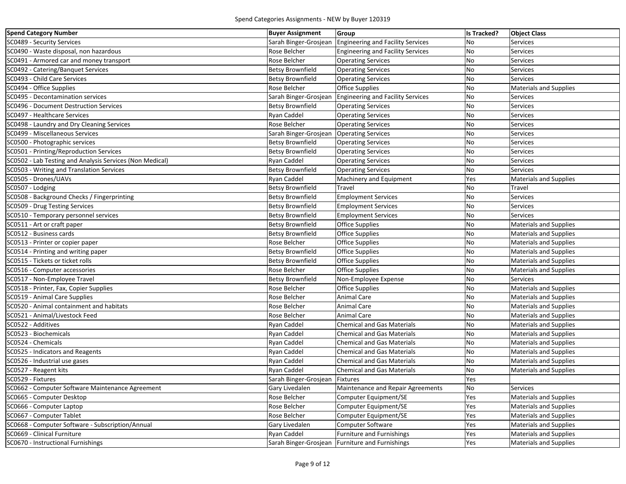| <b>Spend Category Number</b>                             | <b>Buyer Assignment</b>        | Group                                                   | <b>Is Tracked?</b> | <b>Object Class</b>           |
|----------------------------------------------------------|--------------------------------|---------------------------------------------------------|--------------------|-------------------------------|
| SC0489 - Security Services                               |                                | Sarah Binger-Grosjean Engineering and Facility Services | <b>No</b>          | Services                      |
| SC0490 - Waste disposal, non hazardous                   | Rose Belcher                   | <b>Engineering and Facility Services</b>                | No                 | <b>Services</b>               |
| SC0491 - Armored car and money transport                 | Rose Belcher                   | <b>Operating Services</b>                               | No                 | Services                      |
| SC0492 - Catering/Banquet Services                       | <b>Betsy Brownfield</b>        | <b>Operating Services</b>                               | No                 | Services                      |
| SC0493 - Child Care Services                             | <b>Betsy Brownfield</b>        | <b>Operating Services</b>                               | No                 | <b>Services</b>               |
| SC0494 - Office Supplies                                 | <b>Rose Belcher</b>            | <b>Office Supplies</b>                                  | No                 | <b>Materials and Supplies</b> |
| SC0495 - Decontamination services                        |                                | Sarah Binger-Grosjean Engineering and Facility Services | <b>No</b>          | Services                      |
| SC0496 - Document Destruction Services                   | <b>Betsy Brownfield</b>        | <b>Operating Services</b>                               | No                 | <b>Services</b>               |
| SC0497 - Healthcare Services                             | Ryan Caddel                    | <b>Operating Services</b>                               | No                 | Services                      |
| SC0498 - Laundry and Dry Cleaning Services               | Rose Belcher                   | <b>Operating Services</b>                               | No                 | Services                      |
| SC0499 - Miscellaneous Services                          | Sarah Binger-Grosjean          | <b>Operating Services</b>                               | No                 | Services                      |
| SC0500 - Photographic services                           | <b>Betsy Brownfield</b>        | <b>Operating Services</b>                               | No                 | Services                      |
| SC0501 - Printing/Reproduction Services                  | <b>Betsy Brownfield</b>        | <b>Operating Services</b>                               | No                 | Services                      |
| SC0502 - Lab Testing and Analysis Services (Non Medical) | Ryan Caddel                    | <b>Operating Services</b>                               | No                 | <b>Services</b>               |
| SC0503 - Writing and Translation Services                | <b>Betsy Brownfield</b>        | <b>Operating Services</b>                               | <b>No</b>          | Services                      |
| SC0505 - Drones/UAVs                                     | Ryan Caddel                    | Machinery and Equipment                                 | Yes                | <b>Materials and Supplies</b> |
| SC0507 - Lodging                                         | <b>Betsy Brownfield</b>        | Travel                                                  | <b>No</b>          | Travel                        |
| SC0508 - Background Checks / Fingerprinting              | <b>Betsy Brownfield</b>        | <b>Employment Services</b>                              | No                 | Services                      |
| SC0509 - Drug Testing Services                           | <b>Betsy Brownfield</b>        | <b>Employment Services</b>                              | <b>No</b>          | Services                      |
| SC0510 - Temporary personnel services                    | <b>Betsy Brownfield</b>        | <b>Employment Services</b>                              | No                 | <b>Services</b>               |
| SC0511 - Art or craft paper                              | <b>Betsy Brownfield</b>        | <b>Office Supplies</b>                                  | <b>No</b>          | <b>Materials and Supplies</b> |
| SC0512 - Business cards                                  | <b>Betsy Brownfield</b>        | <b>Office Supplies</b>                                  | <b>No</b>          | <b>Materials and Supplies</b> |
| SC0513 - Printer or copier paper                         | Rose Belcher                   | <b>Office Supplies</b>                                  | <b>No</b>          | <b>Materials and Supplies</b> |
| SC0514 - Printing and writing paper                      | Betsy Brownfield               | <b>Office Supplies</b>                                  | <b>No</b>          | <b>Materials and Supplies</b> |
| SC0515 - Tickets or ticket rolls                         | <b>Betsy Brownfield</b>        | <b>Office Supplies</b>                                  | <b>No</b>          | <b>Materials and Supplies</b> |
| SC0516 - Computer accessories                            | Rose Belcher                   | <b>Office Supplies</b>                                  | No                 | <b>Materials and Supplies</b> |
| SC0517 - Non-Employee Travel                             | <b>Betsy Brownfield</b>        | Non-Employee Expense                                    | <b>No</b>          | Services                      |
| SC0518 - Printer, Fax, Copier Supplies                   | Rose Belcher                   | <b>Office Supplies</b>                                  | No                 | <b>Materials and Supplies</b> |
| SC0519 - Animal Care Supplies                            | Rose Belcher                   | <b>Animal Care</b>                                      | No                 | <b>Materials and Supplies</b> |
| SC0520 - Animal containment and habitats                 | Rose Belcher                   | <b>Animal Care</b>                                      | No                 | <b>Materials and Supplies</b> |
| SC0521 - Animal/Livestock Feed                           | Rose Belcher                   | <b>Animal Care</b>                                      | No                 | Materials and Supplies        |
| SC0522 - Additives                                       | Ryan Caddel                    | <b>Chemical and Gas Materials</b>                       | No                 | <b>Materials and Supplies</b> |
| SC0523 - Biochemicals                                    | Ryan Caddel                    | <b>Chemical and Gas Materials</b>                       | <b>No</b>          | <b>Materials and Supplies</b> |
| SC0524 - Chemicals                                       | <b>Ryan Caddel</b>             | Chemical and Gas Materials                              | <b>No</b>          | <b>Materials and Supplies</b> |
| SC0525 - Indicators and Reagents                         | Ryan Caddel                    | <b>Chemical and Gas Materials</b>                       | No                 | <b>Materials and Supplies</b> |
| SC0526 - Industrial use gases                            | Ryan Caddel                    | <b>Chemical and Gas Materials</b>                       | No                 | <b>Materials and Supplies</b> |
| SC0527 - Reagent kits                                    | Ryan Caddel                    | <b>Chemical and Gas Materials</b>                       | <b>No</b>          | <b>Materials and Supplies</b> |
| SC0529 - Fixtures                                        | Sarah Binger-Grosjean Fixtures |                                                         | Yes                |                               |
| SC0662 - Computer Software Maintenance Agreement         | Gary Livedalen                 | Maintenance and Repair Agreements                       | No                 | Services                      |
| SC0665 - Computer Desktop                                | Rose Belcher                   | Computer Equipment/SE                                   | Yes                | <b>Materials and Supplies</b> |
| SC0666 - Computer Laptop                                 | Rose Belcher                   | Computer Equipment/SE                                   | Yes                | <b>Materials and Supplies</b> |
| SC0667 - Computer Tablet                                 | Rose Belcher                   | Computer Equipment/SE                                   | Yes                | <b>Materials and Supplies</b> |
| SC0668 - Computer Software - Subscription/Annual         | Gary Livedalen                 | Computer Software                                       | Yes                | <b>Materials and Supplies</b> |
| SC0669 - Clinical Furniture                              | Ryan Caddel                    | <b>Furniture and Furnishings</b>                        | Yes                | <b>Materials and Supplies</b> |
| SC0670 - Instructional Furnishings                       | Sarah Binger-Grosjean          | Furniture and Furnishings                               | Yes                | <b>Materials and Supplies</b> |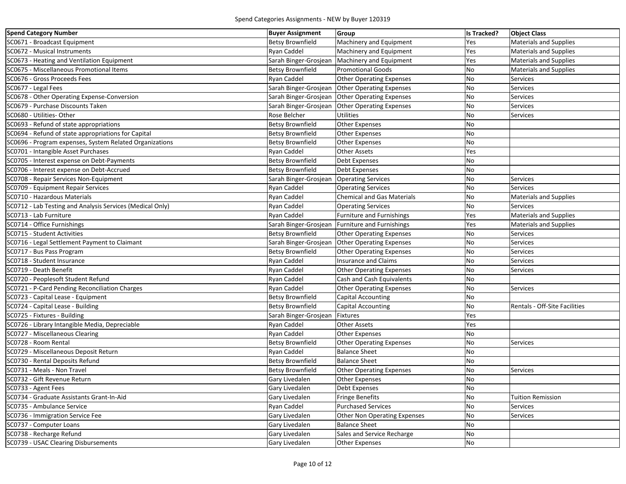| <b>Spend Category Number</b>                              | <b>Buyer Assignment</b> | Group                                          | <b>Is Tracked?</b> | <b>Object Class</b>           |
|-----------------------------------------------------------|-------------------------|------------------------------------------------|--------------------|-------------------------------|
| SC0671 - Broadcast Equipment                              | <b>Betsy Brownfield</b> | Machinery and Equipment                        | Yes                | <b>Materials and Supplies</b> |
| SC0672 - Musical Instruments                              | Ryan Caddel             | Machinery and Equipment                        | Yes                | <b>Materials and Supplies</b> |
| SC0673 - Heating and Ventilation Equipment                |                         | Sarah Binger-Grosjean Machinery and Equipment  | Yes                | <b>Materials and Supplies</b> |
| SC0675 - Miscellaneous Promotional Items                  | <b>Betsy Brownfield</b> | <b>Promotional Goods</b>                       | No                 | <b>Materials and Supplies</b> |
| SC0676 - Gross Proceeds Fees                              | Ryan Caddel             | <b>Other Operating Expenses</b>                | No                 | <b>Services</b>               |
| SC0677 - Legal Fees                                       |                         | Sarah Binger-Grosjean Other Operating Expenses | No                 | <b>Services</b>               |
| SC0678 - Other Operating Expense-Conversion               |                         | Sarah Binger-Grosjean Other Operating Expenses | <b>No</b>          | Services                      |
| SC0679 - Purchase Discounts Taken                         |                         | Sarah Binger-Grosjean Other Operating Expenses | No                 | Services                      |
| SC0680 - Utilities- Other                                 | Rose Belcher            | <b>Utilities</b>                               | No                 | Services                      |
| SC0693 - Refund of state appropriations                   | <b>Betsy Brownfield</b> | <b>Other Expenses</b>                          | <b>No</b>          |                               |
| SC0694 - Refund of state appropriations for Capital       | <b>Betsy Brownfield</b> | <b>Other Expenses</b>                          | No                 |                               |
| SC0696 - Program expenses, System Related Organizations   | <b>Betsy Brownfield</b> | <b>Other Expenses</b>                          | No                 |                               |
| SC0701 - Intangible Asset Purchases                       | Ryan Caddel             | Other Assets                                   | Yes                |                               |
| SC0705 - Interest expense on Debt-Payments                | <b>Betsy Brownfield</b> | <b>Debt Expenses</b>                           | <b>No</b>          |                               |
| SC0706 - Interest expense on Debt-Accrued                 | <b>Betsy Brownfield</b> | <b>Debt Expenses</b>                           | No                 |                               |
| SC0708 - Repair Services Non-Equipment                    | Sarah Binger-Grosjean   | <b>Operating Services</b>                      | No                 | <b>Services</b>               |
| SC0709 - Equipment Repair Services                        | Ryan Caddel             | <b>Operating Services</b>                      | No                 | <b>Services</b>               |
| SC0710 - Hazardous Materials                              | Ryan Caddel             | <b>Chemical and Gas Materials</b>              | No                 | <b>Materials and Supplies</b> |
| SC0712 - Lab Testing and Analysis Services (Medical Only) | Ryan Caddel             | <b>Operating Services</b>                      | <b>No</b>          | <b>Services</b>               |
| SC0713 - Lab Furniture                                    | Ryan Caddel             | <b>Furniture and Furnishings</b>               | Yes                | <b>Materials and Supplies</b> |
| SC0714 - Office Furnishings                               | Sarah Binger-Grosjean   | Furniture and Furnishings                      | Yes                | <b>Materials and Supplies</b> |
| SC0715 - Student Activities                               | <b>Betsy Brownfield</b> | <b>Other Operating Expenses</b>                | <b>No</b>          | <b>Services</b>               |
| SC0716 - Legal Settlement Payment to Claimant             | Sarah Binger-Grosjean   | <b>Other Operating Expenses</b>                | <b>No</b>          | <b>Services</b>               |
| SC0717 - Bus Pass Program                                 | <b>Betsy Brownfield</b> | <b>Other Operating Expenses</b>                | No                 | Services                      |
| SC0718 - Student Insurance                                | Ryan Caddel             | <b>Insurance and Claims</b>                    | No                 | Services                      |
| SC0719 - Death Benefit                                    | Ryan Caddel             | <b>Other Operating Expenses</b>                | No                 | Services                      |
| SC0720 - Peoplesoft Student Refund                        | Ryan Caddel             | Cash and Cash Equivalents                      | <b>No</b>          |                               |
| SC0721 - P-Card Pending Reconciliation Charges            | Ryan Caddel             | <b>Other Operating Expenses</b>                | No                 | Services                      |
| SC0723 - Capital Lease - Equipment                        | <b>Betsy Brownfield</b> | <b>Capital Accounting</b>                      | No                 |                               |
| SC0724 - Capital Lease - Building                         | <b>Betsy Brownfield</b> | <b>Capital Accounting</b>                      | No                 | Rentals - Off-Site Facilities |
| SC0725 - Fixtures - Building                              | Sarah Binger-Grosjean   | <b>Fixtures</b>                                | Yes                |                               |
| SC0726 - Library Intangible Media, Depreciable            | Ryan Caddel             | <b>Other Assets</b>                            | Yes                |                               |
| SC0727 - Miscellaneous Clearing                           | Ryan Caddel             | <b>Other Expenses</b>                          | <b>No</b>          |                               |
| SC0728 - Room Rental                                      | <b>Betsy Brownfield</b> | <b>Other Operating Expenses</b>                | No                 | <b>Services</b>               |
| SC0729 - Miscellaneous Deposit Return                     | Ryan Caddel             | <b>Balance Sheet</b>                           | <b>No</b>          |                               |
| SC0730 - Rental Deposits Refund                           | <b>Betsy Brownfield</b> | <b>Balance Sheet</b>                           | No                 |                               |
| SC0731 - Meals - Non Travel                               | <b>Betsy Brownfield</b> | <b>Other Operating Expenses</b>                | No                 | Services                      |
| SC0732 - Gift Revenue Return                              | Gary Livedalen          | <b>Other Expenses</b>                          | <b>No</b>          |                               |
| SC0733 - Agent Fees                                       | Gary Livedalen          | Debt Expenses                                  | No                 |                               |
| SC0734 - Graduate Assistants Grant-In-Aid                 | Gary Livedalen          | <b>Fringe Benefits</b>                         | No                 | <b>Tuition Remission</b>      |
| SC0735 - Ambulance Service                                | Ryan Caddel             | <b>Purchased Services</b>                      | No                 | <b>Services</b>               |
| SC0736 - Immigration Service Fee                          | Gary Livedalen          | <b>Other Non Operating Expenses</b>            | No                 | <b>Services</b>               |
| SC0737 - Computer Loans                                   | <b>Gary Livedalen</b>   | <b>Balance Sheet</b>                           | No                 |                               |
| SC0738 - Recharge Refund                                  | Gary Livedalen          | Sales and Service Recharge                     | No                 |                               |
| SC0739 - USAC Clearing Disbursements                      | Gary Livedalen          | <b>Other Expenses</b>                          | No                 |                               |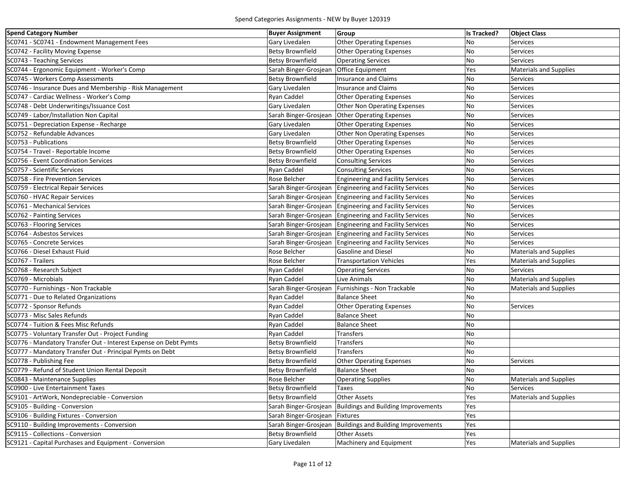| <b>Spend Category Number</b>                                     | <b>Buyer Assignment</b>                | Group                                                   | <b>Is Tracked?</b> | <b>Object Class</b>           |
|------------------------------------------------------------------|----------------------------------------|---------------------------------------------------------|--------------------|-------------------------------|
| SC0741 - SC0741 - Endowment Management Fees                      | Gary Livedalen                         | <b>Other Operating Expenses</b>                         | No                 | Services                      |
| SC0742 - Facility Moving Expense                                 | <b>Betsy Brownfield</b>                | <b>Other Operating Expenses</b>                         | No                 | <b>Services</b>               |
| SC0743 - Teaching Services                                       | <b>Betsy Brownfield</b>                | <b>Operating Services</b>                               | No                 | Services                      |
| SC0744 - Ergonomic Equipment - Worker's Comp                     | Sarah Binger-Grosjean Office Equipment |                                                         | Yes                | <b>Materials and Supplies</b> |
| SC0745 - Workers Comp Assessments                                | <b>Betsy Brownfield</b>                | <b>Insurance and Claims</b>                             | <b>No</b>          | <b>Services</b>               |
| SC0746 - Insurance Dues and Membership - Risk Management         | Gary Livedalen                         | <b>Insurance and Claims</b>                             | No                 | <b>Services</b>               |
| SC0747 - Cardiac Wellness - Worker's Comp                        | Ryan Caddel                            | <b>Other Operating Expenses</b>                         | No                 | <b>Services</b>               |
| SC0748 - Debt Underwritings/Issuance Cost                        | Gary Livedalen                         | <b>Other Non Operating Expenses</b>                     | <b>No</b>          | Services                      |
| SC0749 - Labor/Installation Non Capital                          | Sarah Binger-Grosjean                  | <b>Other Operating Expenses</b>                         | No                 | Services                      |
| SC0751 - Depreciation Expense - Recharge                         | Gary Livedalen                         | <b>Other Operating Expenses</b>                         | No                 | <b>Services</b>               |
| SC0752 - Refundable Advances                                     | Gary Livedalen                         | <b>Other Non Operating Expenses</b>                     | No                 | Services                      |
| SC0753 - Publications                                            | <b>Betsy Brownfield</b>                | <b>Other Operating Expenses</b>                         | No                 | Services                      |
| SC0754 - Travel - Reportable Income                              | <b>Betsy Brownfield</b>                | <b>Other Operating Expenses</b>                         | <b>No</b>          | Services                      |
| SC0756 - Event Coordination Services                             | <b>Betsy Brownfield</b>                | <b>Consulting Services</b>                              | <b>No</b>          | Services                      |
| SC0757 - Scientific Services                                     | <b>Ryan Caddel</b>                     | <b>Consulting Services</b>                              | <b>No</b>          | Services                      |
| SC0758 - Fire Prevention Services                                | Rose Belcher                           | <b>Engineering and Facility Services</b>                | <b>No</b>          | <b>Services</b>               |
| SC0759 - Electrical Repair Services                              |                                        | Sarah Binger-Grosjean Engineering and Facility Services | No                 | Services                      |
| SC0760 - HVAC Repair Services                                    |                                        | Sarah Binger-Grosjean Engineering and Facility Services | <b>No</b>          | Services                      |
| SC0761 - Mechanical Services                                     |                                        | Sarah Binger-Grosjean Engineering and Facility Services | <b>No</b>          | Services                      |
| SC0762 - Painting Services                                       |                                        | Sarah Binger-Grosjean Engineering and Facility Services | <b>No</b>          | Services                      |
| SC0763 - Flooring Services                                       |                                        | Sarah Binger-Grosjean Engineering and Facility Services | <b>No</b>          | Services                      |
| SC0764 - Asbestos Services                                       |                                        | Sarah Binger-Grosjean Engineering and Facility Services | <b>No</b>          | Services                      |
| SC0765 - Concrete Services                                       |                                        | Sarah Binger-Grosjean Engineering and Facility Services | No                 | <b>Services</b>               |
| SC0766 - Diesel Exhaust Fluid                                    | Rose Belcher                           | <b>Gasoline and Diesel</b>                              | No                 | <b>Materials and Supplies</b> |
| SC0767 - Trailers                                                | Rose Belcher                           | <b>Transportation Vehicles</b>                          | Yes                | <b>Materials and Supplies</b> |
| SC0768 - Research Subject                                        | Ryan Caddel                            | <b>Operating Services</b>                               | No                 | Services                      |
| SC0769 - Microbials                                              | Ryan Caddel                            | Live Animals                                            | No                 | <b>Materials and Supplies</b> |
| SC0770 - Furnishings - Non Trackable                             |                                        | Sarah Binger-Grosjean Furnishings - Non Trackable       | No                 | <b>Materials and Supplies</b> |
| SC0771 - Due to Related Organizations                            | <b>Ryan Caddel</b>                     | <b>Balance Sheet</b>                                    | No                 |                               |
| SC0772 - Sponsor Refunds                                         | Ryan Caddel                            | <b>Other Operating Expenses</b>                         | No                 | Services                      |
| SC0773 - Misc Sales Refunds                                      | Ryan Caddel                            | <b>Balance Sheet</b>                                    | No                 |                               |
| SC0774 - Tuition & Fees Misc Refunds                             | <b>Ryan Caddel</b>                     | <b>Balance Sheet</b>                                    | <b>No</b>          |                               |
| SC0775 - Voluntary Transfer Out - Project Funding                | Ryan Caddel                            | Transfers                                               | <b>No</b>          |                               |
| SC0776 - Mandatory Transfer Out - Interest Expense on Debt Pymts | <b>Betsy Brownfield</b>                | <b>Transfers</b>                                        | No                 |                               |
| SC0777 - Mandatory Transfer Out - Principal Pymts on Debt        | <b>Betsy Brownfield</b>                | <b>Transfers</b>                                        | No                 |                               |
| SC0778 - Publishing Fee                                          | <b>Betsy Brownfield</b>                | <b>Other Operating Expenses</b>                         | No                 | Services                      |
| SC0779 - Refund of Student Union Rental Deposit                  | <b>Betsy Brownfield</b>                | <b>Balance Sheet</b>                                    | No                 |                               |
| SC0843 - Maintenance Supplies                                    | Rose Belcher                           | <b>Operating Supplies</b>                               | No                 | <b>Materials and Supplies</b> |
| SC0900 - Live Entertainment Taxes                                | <b>Betsy Brownfield</b>                | Taxes                                                   | No                 | Services                      |
| SC9101 - ArtWork, Nondepreciable - Conversion                    | <b>Betsy Brownfield</b>                | <b>Other Assets</b>                                     | Yes                | <b>Materials and Supplies</b> |
| SC9105 - Building - Conversion                                   | Sarah Binger-Grosjean                  | <b>Buildings and Building Improvements</b>              | Yes                |                               |
| SC9106 - Building Fixtures - Conversion                          | Sarah Binger-Grosjean                  | <b>Fixtures</b>                                         | Yes                |                               |
| SC9110 - Building Improvements - Conversion                      | Sarah Binger-Grosjean                  | <b>Buildings and Building Improvements</b>              | Yes                |                               |
| SC9115 - Collections - Conversion                                | <b>Betsy Brownfield</b>                | <b>Other Assets</b>                                     | Yes                |                               |
| SC9121 - Capital Purchases and Equipment - Conversion            | Gary Livedalen                         | Machinery and Equipment                                 | Yes                | <b>Materials and Supplies</b> |